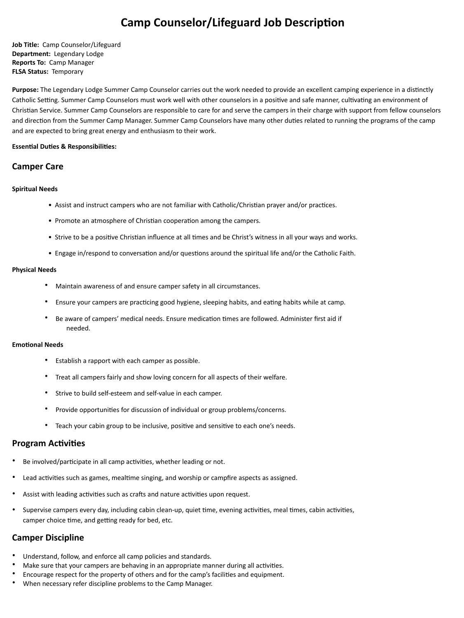# **Camp Counselor/Lifeguard Job Description**

**Job Title:** Camp Counselor/Lifeguard **Department:** Legendary Lodge **Reports To:** Camp Manager **FLSA Status:** Temporary

Purpose: The Legendary Lodge Summer Camp Counselor carries out the work needed to provide an excellent camping experience in a distinctly Catholic Setting. Summer Camp Counselors must work well with other counselors in a positive and safe manner, cultivating an environment of Christian Service. Summer Camp Counselors are responsible to care for and serve the campers in their charge with support from fellow counselors and direction from the Summer Camp Manager. Summer Camp Counselors have many other duties related to running the programs of the camp and are expected to bring great energy and enthusiasm to their work.

# **Essential Duties & Responsibilities:**

# **Camper Care**

# **Spiritual Needs**

- Assist and instruct campers who are not familiar with Catholic/Christian prayer and/or practices.
- Promote an atmosphere of Christian cooperation among the campers.
- Strive to be a positive Christian influence at all times and be Christ's witness in all your ways and works.
- Engage in/respond to conversation and/or questions around the spiritual life and/or the Catholic Faith.

# **Physical Needs**

- Maintain awareness of and ensure camper safety in all circumstances.
- Ensure your campers are practicing good hygiene, sleeping habits, and eating habits while at camp.
- Be aware of campers' medical needs. Ensure medication times are followed. Administer first aid if needed.

# **Emotional Needs**

- Establish a rapport with each camper as possible.
- Treat all campers fairly and show loving concern for all aspects of their welfare.
- Strive to build self-esteem and self-value in each camper.
- Provide opportunities for discussion of individual or group problems/concerns.
- Teach your cabin group to be inclusive, positive and sensitive to each one's needs.

# **Program Activities**

- Be involved/participate in all camp activities, whether leading or not.
- Lead activities such as games, mealtime singing, and worship or campfire aspects as assigned.
- Assist with leading activities such as crafts and nature activities upon request.
- Supervise campers every day, including cabin clean-up, quiet time, evening activities, meal times, cabin activities, camper choice time, and getting ready for bed, etc.

# **Camper Discipline**

- Understand, follow, and enforce all camp policies and standards.
- Make sure that your campers are behaving in an appropriate manner during all activities.
- Encourage respect for the property of others and for the camp's facilities and equipment.
- When necessary refer discipline problems to the Camp Manager.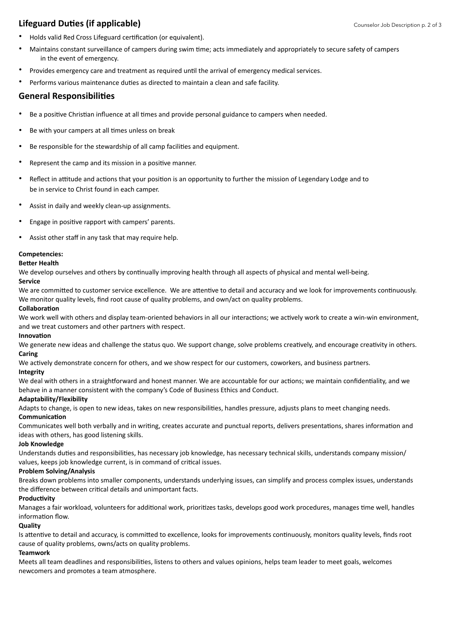# **Lifeguard Duties (if applicable)**

- Holds valid Red Cross Lifeguard certification (or equivalent).
- Maintains constant surveillance of campers during swim time; acts immediately and appropriately to secure safety of campers in the event of emergency.
- Provides emergency care and treatment as required until the arrival of emergency medical services.
- Performs various maintenance duties as directed to maintain a clean and safe facility.

# **General Responsibili7es**

- Be a positive Christian influence at all times and provide personal guidance to campers when needed.
- Be with your campers at all times unless on break
- Be responsible for the stewardship of all camp facilities and equipment.
- Represent the camp and its mission in a positive manner.
- Reflect in attitude and actions that your position is an opportunity to further the mission of Legendary Lodge and to be in service to Christ found in each camper.
- Assist in daily and weekly clean-up assignments.
- Engage in positive rapport with campers' parents.
- Assist other staff in any task that may require help.

#### **Competencies:**

#### **Better Health**

We develop ourselves and others by continually improving health through all aspects of physical and mental well-being.

#### **Service**

We are committed to customer service excellence. We are attentive to detail and accuracy and we look for improvements continuously. We monitor quality levels, find root cause of quality problems, and own/act on quality problems.

#### **Collaboration**

We work well with others and display team-oriented behaviors in all our interactions; we actively work to create a win-win environment, and we treat customers and other partners with respect.

#### **Innovation**

We generate new ideas and challenge the status quo. We support change, solve problems creatively, and encourage creativity in others. **Caring** 

We actively demonstrate concern for others, and we show respect for our customers, coworkers, and business partners.

#### **Integrity**

We deal with others in a straightforward and honest manner. We are accountable for our actions; we maintain confidentiality, and we behave in a manner consistent with the company's Code of Business Ethics and Conduct.

#### **Adaptability/Flexibility**

Adapts to change, is open to new ideas, takes on new responsibilities, handles pressure, adjusts plans to meet changing needs.

# **Communication**

Communicates well both verbally and in writing, creates accurate and punctual reports, delivers presentations, shares information and ideas with others, has good listening skills.

#### **Job Knowledge**

Understands duties and responsibilities, has necessary job knowledge, has necessary technical skills, understands company mission/ values, keeps job knowledge current, is in command of critical issues.

# **Problem Solving/Analysis**

Breaks down problems into smaller components, understands underlying issues, can simplify and process complex issues, understands the difference between critical details and unimportant facts.

# **Productivity**

Manages a fair workload, volunteers for additional work, prioritizes tasks, develops good work procedures, manages time well, handles information flow.

# **Quality**

Is attentive to detail and accuracy, is committed to excellence, looks for improvements continuously, monitors quality levels, finds root cause of quality problems, owns/acts on quality problems.

# **Teamwork**

Meets all team deadlines and responsibilities, listens to others and values opinions, helps team leader to meet goals, welcomes newcomers and promotes a team atmosphere.